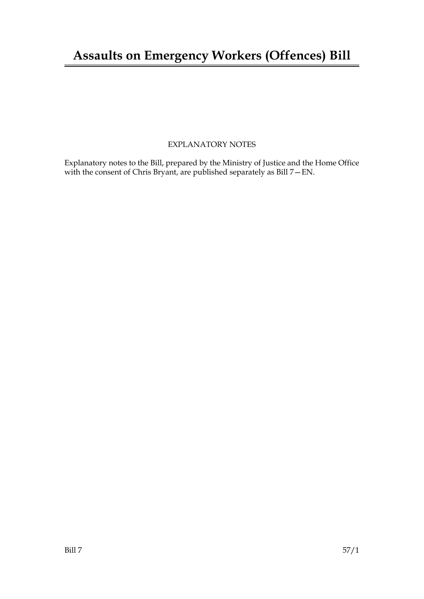### EXPLANATORY NOTES

Explanatory notes to the Bill, prepared by the Ministry of Justice and the Home Office with the consent of Chris Bryant, are published separately as Bill 7—EN.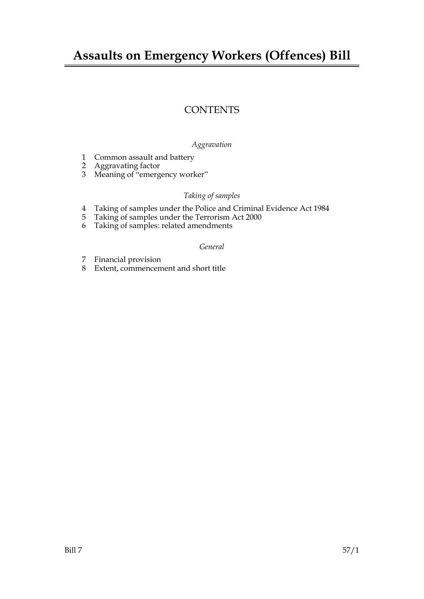## **Assaults on Emergency Workers (Offences) Bill**

## **CONTENTS**

#### *Aggravation*

- 1 Common assault and battery
- 2 Aggravating factor
- 3 Meaning of "emergency worker"

#### *Taking of samples*

- 4 Taking of samples under the Police and Criminal Evidence Act 1984<br>5 Taking of samples under the Terrorism Act 2000
- Taking of samples under the Terrorism Act 2000
- 6 Taking of samples: related amendments

#### *General*

- 7 Financial provision
- 8 Extent, commencement and short title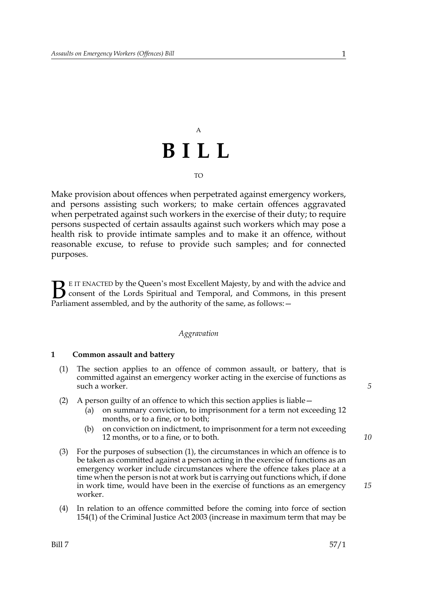# A **BILL**

#### TO

Make provision about offences when perpetrated against emergency workers, and persons assisting such workers; to make certain offences aggravated when perpetrated against such workers in the exercise of their duty; to require persons suspected of certain assaults against such workers which may pose a health risk to provide intimate samples and to make it an offence, without reasonable excuse, to refuse to provide such samples; and for connected purposes.

E IT ENACTED by the Queen's most Excellent Majesty, by and with the advice and consent of the Lords Spiritual and Temporal, and Commons, in this present **B** EIT ENACTED by the Queen's most Excellent Majesty, by and with consent of the Lords Spiritual and Temporal, and Commons, Parliament assembled, and by the authority of the same, as follows:  $-$ 

#### *Aggravation*

#### **1 Common assault and battery**

- (1) The section applies to an offence of common assault, or battery, that is committed against an emergency worker acting in the exercise of functions as such a worker.
- (2) A person guilty of an offence to which this section applies is liable—
	- (a) on summary conviction, to imprisonment for a term not exceeding 12 months, or to a fine, or to both;
	- (b) on conviction on indictment, to imprisonment for a term not exceeding 12 months, or to a fine, or to both.
- (3) For the purposes of subsection (1), the circumstances in which an offence is to be taken as committed against a person acting in the exercise of functions as an emergency worker include circumstances where the offence takes place at a time when the person is not at work but is carrying out functions which, if done in work time, would have been in the exercise of functions as an emergency worker.
- (4) In relation to an offence committed before the coming into force of section 154(1) of the Criminal Justice Act 2003 (increase in maximum term that may be

*5*

*15*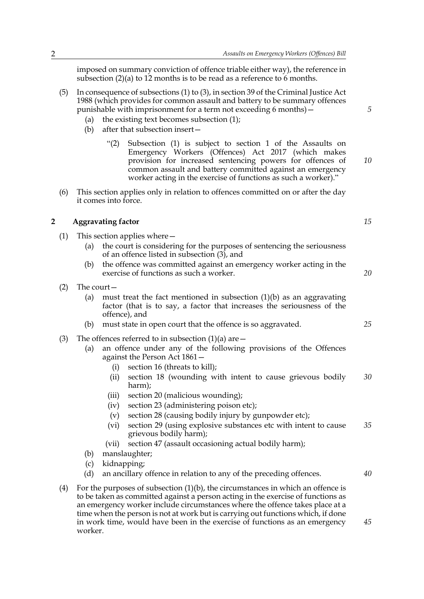imposed on summary conviction of offence triable either way), the reference in subsection (2)(a) to 12 months is to be read as a reference to 6 months.

- (5) In consequence of subsections (1) to (3), in section 39 of the Criminal Justice Act 1988 (which provides for common assault and battery to be summary offences punishable with imprisonment for a term not exceeding 6 months)—
	- (a) the existing text becomes subsection (1);
	- (b) after that subsection insert—
		- "(2) Subsection (1) is subject to section 1 of the Assaults on Emergency Workers (Offences) Act 2017 (which makes provision for increased sentencing powers for offences of common assault and battery committed against an emergency worker acting in the exercise of functions as such a worker)." *10*
- (6) This section applies only in relation to offences committed on or after the day it comes into force.

#### **2 Aggravating factor**

- (1) This section applies where—
	- (a) the court is considering for the purposes of sentencing the seriousness of an offence listed in subsection (3), and
	- (b) the offence was committed against an emergency worker acting in the exercise of functions as such a worker.
- (2) The court—
	- (a) must treat the fact mentioned in subsection  $(1)(b)$  as an aggravating factor (that is to say, a factor that increases the seriousness of the offence), and
	- (b) must state in open court that the offence is so aggravated.
- (3) The offences referred to in subsection  $(1)(a)$  are  $-$ 
	- (a) an offence under any of the following provisions of the Offences against the Person Act 1861—
		- (i) section 16 (threats to kill);
		- (ii) section 18 (wounding with intent to cause grievous bodily harm); *30*
		- (iii) section 20 (malicious wounding);
		- (iv) section 23 (administering poison etc);
		- (v) section 28 (causing bodily injury by gunpowder etc);
		- (vi) section 29 (using explosive substances etc with intent to cause grievous bodily harm); *35*
		- (vii) section 47 (assault occasioning actual bodily harm);
	- (b) manslaughter;
	- (c) kidnapping;
	- (d) an ancillary offence in relation to any of the preceding offences.
- (4) For the purposes of subsection  $(1)(b)$ , the circumstances in which an offence is to be taken as committed against a person acting in the exercise of functions as an emergency worker include circumstances where the offence takes place at a time when the person is not at work but is carrying out functions which, if done in work time, would have been in the exercise of functions as an emergency worker.

*5*

*15*

*20*

*25*

*40*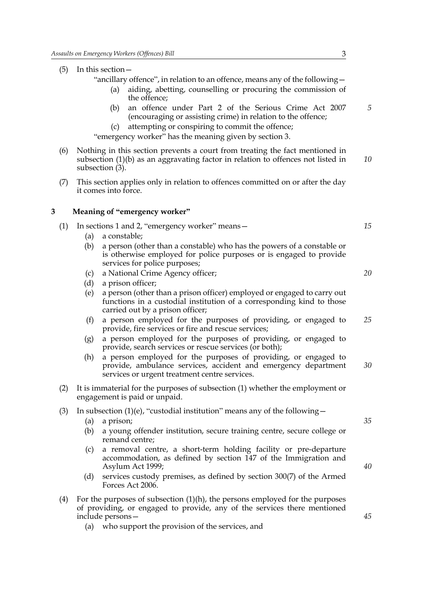(5) In this section—

"ancillary offence", in relation to an offence, means any of the following—

- (a) aiding, abetting, counselling or procuring the commission of the offence;
- (b) an offence under Part 2 of the Serious Crime Act 2007 (encouraging or assisting crime) in relation to the offence;
- (c) attempting or conspiring to commit the offence;

"emergency worker" has the meaning given by section 3.

- (6) Nothing in this section prevents a court from treating the fact mentioned in subsection (1)(b) as an aggravating factor in relation to offences not listed in subsection  $(3)$ . *10*
- (7) This section applies only in relation to offences committed on or after the day it comes into force.

#### **3 Meaning of "emergency worker"**

| (1) | In sections 1 and 2, "emergency worker" means - |                                                                                                                                                                                      | 15 |
|-----|-------------------------------------------------|--------------------------------------------------------------------------------------------------------------------------------------------------------------------------------------|----|
|     | (a)                                             | a constable;                                                                                                                                                                         |    |
|     | (b)                                             | a person (other than a constable) who has the powers of a constable or<br>is otherwise employed for police purposes or is engaged to provide<br>services for police purposes;        |    |
|     | $\left( c\right)$                               | a National Crime Agency officer;                                                                                                                                                     | 20 |
|     | (d)                                             | a prison officer;                                                                                                                                                                    |    |
|     | (e)                                             | a person (other than a prison officer) employed or engaged to carry out<br>functions in a custodial institution of a corresponding kind to those<br>carried out by a prison officer; |    |
|     | (f)                                             | a person employed for the purposes of providing, or engaged to<br>provide, fire services or fire and rescue services;                                                                | 25 |

- (g) a person employed for the purposes of providing, or engaged to provide, search services or rescue services (or both);
- (h) a person employed for the purposes of providing, or engaged to provide, ambulance services, accident and emergency department services or urgent treatment centre services. *30*
- (2) It is immaterial for the purposes of subsection (1) whether the employment or engagement is paid or unpaid.
- (3) In subsection (1)(e), "custodial institution" means any of the following  $-$ 
	- (a) a prison;
	- (b) a young offender institution, secure training centre, secure college or remand centre;
	- (c) a removal centre, a short-term holding facility or pre-departure accommodation, as defined by section 147 of the Immigration and Asylum Act 1999;
	- (d) services custody premises, as defined by section 300(7) of the Armed Forces Act 2006.
- (4) For the purposes of subsection  $(1)(h)$ , the persons employed for the purposes of providing, or engaged to provide, any of the services there mentioned include persons—
	- (a) who support the provision of the services, and

*45*

*35*

*40*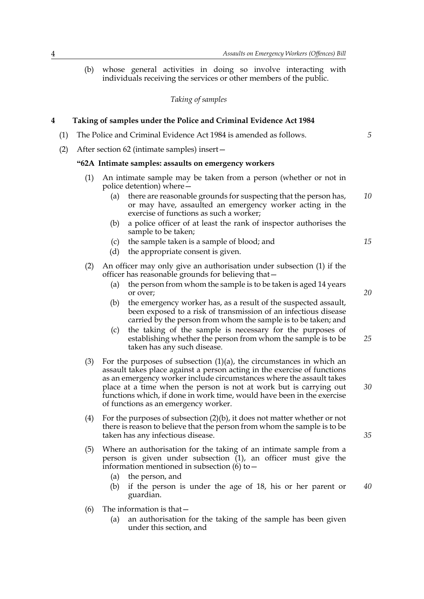(b) whose general activities in doing so involve interacting with individuals receiving the services or other members of the public.

*Taking of samples*

#### **4 Taking of samples under the Police and Criminal Evidence Act 1984** (1) The Police and Criminal Evidence Act 1984 is amended as follows. (2) After section 62 (intimate samples) insert— **"62A Intimate samples: assaults on emergency workers** (1) An intimate sample may be taken from a person (whether or not in police detention) where— (a) there are reasonable grounds for suspecting that the person has, or may have, assaulted an emergency worker acting in the exercise of functions as such a worker; (b) a police officer of at least the rank of inspector authorises the sample to be taken; (c) the sample taken is a sample of blood; and (d) the appropriate consent is given. (2) An officer may only give an authorisation under subsection (1) if the officer has reasonable grounds for believing that— (a) the person from whom the sample is to be taken is aged 14 years or over; (b) the emergency worker has, as a result of the suspected assault, been exposed to a risk of transmission of an infectious disease carried by the person from whom the sample is to be taken; and (c) the taking of the sample is necessary for the purposes of establishing whether the person from whom the sample is to be taken has any such disease. (3) For the purposes of subsection  $(1)(a)$ , the circumstances in which an assault takes place against a person acting in the exercise of functions as an emergency worker include circumstances where the assault takes place at a time when the person is not at work but is carrying out functions which, if done in work time, would have been in the exercise of functions as an emergency worker. (4) For the purposes of subsection (2)(b), it does not matter whether or not there is reason to believe that the person from whom the sample is to be taken has any infectious disease. (5) Where an authorisation for the taking of an intimate sample from a person is given under subsection  $(1)$ , an officer must give the information mentioned in subsection  $\overrightarrow{6}$  to – (a) the person, and (b) if the person is under the age of 18, his or her parent or guardian. *10 15 20 25 30 35 40*

- (6) The information is that—
	- (a) an authorisation for the taking of the sample has been given under this section, and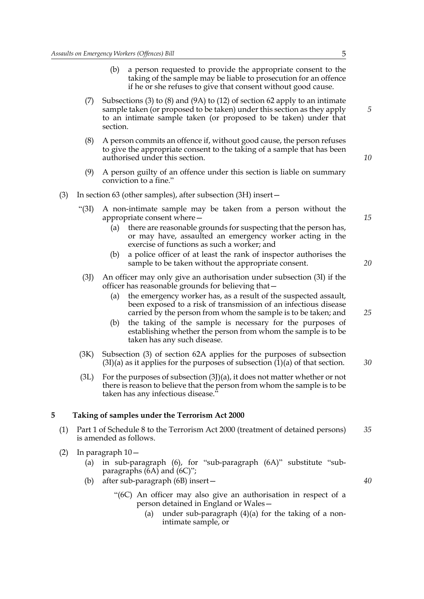- (b) a person requested to provide the appropriate consent to the taking of the sample may be liable to prosecution for an offence if he or she refuses to give that consent without good cause.
- (7) Subsections (3) to (8) and (9A) to (12) of section 62 apply to an intimate sample taken (or proposed to be taken) under this section as they apply to an intimate sample taken (or proposed to be taken) under that section.
- (8) A person commits an offence if, without good cause, the person refuses to give the appropriate consent to the taking of a sample that has been authorised under this section.
- (9) A person guilty of an offence under this section is liable on summary conviction to a fine."
- (3) In section 63 (other samples), after subsection (3H) insert—
	- "(3I) A non-intimate sample may be taken from a person without the appropriate consent where—
		- (a) there are reasonable grounds for suspecting that the person has, or may have, assaulted an emergency worker acting in the exercise of functions as such a worker; and
		- (b) a police officer of at least the rank of inspector authorises the sample to be taken without the appropriate consent.
	- (3J) An officer may only give an authorisation under subsection (3I) if the officer has reasonable grounds for believing that—
		- (a) the emergency worker has, as a result of the suspected assault, been exposed to a risk of transmission of an infectious disease carried by the person from whom the sample is to be taken; and
		- (b) the taking of the sample is necessary for the purposes of establishing whether the person from whom the sample is to be taken has any such disease.
	- (3K) Subsection (3) of section 62A applies for the purposes of subsection  $(3I)(a)$  as it applies for the purposes of subsection  $(1)(a)$  of that section.
	- (3L) For the purposes of subsection  $(3)$ )(a), it does not matter whether or not there is reason to believe that the person from whom the sample is to be taken has any infectious disease."

#### **5 Taking of samples under the Terrorism Act 2000**

- (1) Part 1 of Schedule 8 to the Terrorism Act 2000 (treatment of detained persons) is amended as follows. *35*
- (2) In paragraph 10—
	- (a) in sub-paragraph (6), for "sub-paragraph (6A)" substitute "subparagraphs (6A) and (6C)";
	- (b) after sub-paragraph (6B) insert—
		- "(6C) An officer may also give an authorisation in respect of a person detained in England or Wales—
			- (a) under sub-paragraph  $(4)(a)$  for the taking of a nonintimate sample, or

*15*

*20*

*25*

*30*

*40*

*5*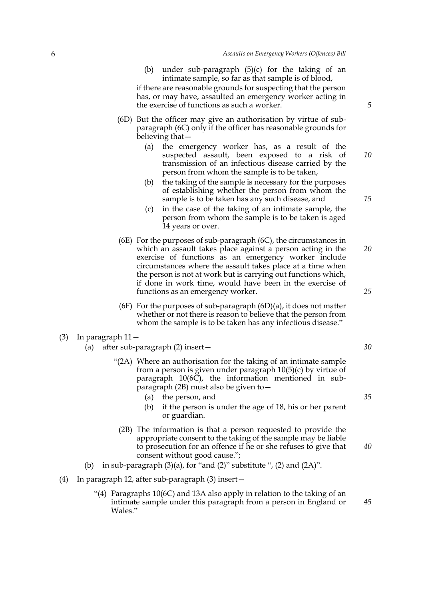(b) under sub-paragraph (5)(c) for the taking of an intimate sample, so far as that sample is of blood,

if there are reasonable grounds for suspecting that the person has, or may have, assaulted an emergency worker acting in the exercise of functions as such a worker.

- (6D) But the officer may give an authorisation by virtue of subparagraph (6C) only if the officer has reasonable grounds for believing that—
	- (a) the emergency worker has, as a result of the suspected assault, been exposed to a risk of transmission of an infectious disease carried by the person from whom the sample is to be taken, *10*
	- (b) the taking of the sample is necessary for the purposes of establishing whether the person from whom the sample is to be taken has any such disease, and
	- (c) in the case of the taking of an intimate sample, the person from whom the sample is to be taken is aged 14 years or over.
- (6E) For the purposes of sub-paragraph (6C), the circumstances in which an assault takes place against a person acting in the exercise of functions as an emergency worker include circumstances where the assault takes place at a time when the person is not at work but is carrying out functions which, if done in work time, would have been in the exercise of functions as an emergency worker. *20 25*
- (6F) For the purposes of sub-paragraph  $(6D)(a)$ , it does not matter whether or not there is reason to believe that the person from whom the sample is to be taken has any infectious disease."
- (3) In paragraph 11—
	- (a) after sub-paragraph (2) insert—
		- "(2A) Where an authorisation for the taking of an intimate sample from a person is given under paragraph 10(5)(c) by virtue of paragraph  $10(6\bar{C})$ , the information mentioned in subparagraph (2B) must also be given to—
			- (a) the person, and
			- (b) if the person is under the age of 18, his or her parent or guardian.
			- (2B) The information is that a person requested to provide the appropriate consent to the taking of the sample may be liable to prosecution for an offence if he or she refuses to give that consent without good cause.";
	- (b) in sub-paragraph  $(3)(a)$ , for "and  $(2)$ " substitute ",  $(2)$  and  $(2A)$ ".
- (4) In paragraph 12, after sub-paragraph (3) insert—
	- "(4) Paragraphs 10(6C) and 13A also apply in relation to the taking of an intimate sample under this paragraph from a person in England or Wales."

*5*

*15*

*30*

*35*

*40*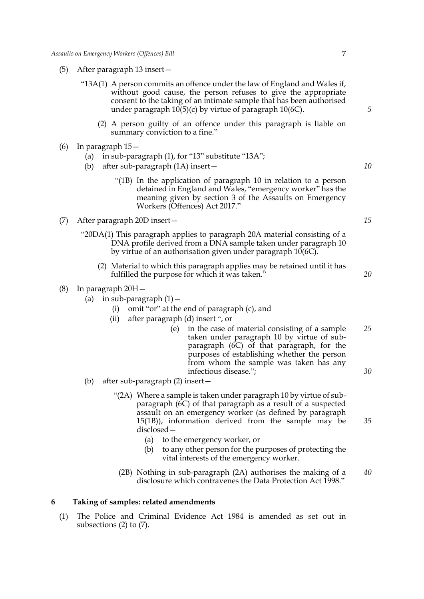(5) After paragraph 13 insert—

| "13A(1) A person commits an offence under the law of England and Wales if, |
|----------------------------------------------------------------------------|
| without good cause, the person refuses to give the appropriate             |
| consent to the taking of an intimate sample that has been authorised       |
| under paragraph $10(5)(c)$ by virtue of paragraph $10(6C)$ .               |

- (2) A person guilty of an offence under this paragraph is liable on summary conviction to a fine."
- (6) In paragraph 15—
	- (a) in sub-paragraph (1), for "13" substitute "13A";
	- (b) after sub-paragraph (1A) insert—
		- "(1B) In the application of paragraph 10 in relation to a person detained in England and Wales, "emergency worker" has the meaning given by section 3 of the Assaults on Emergency Workers (Offences) Act 2017."
- (7) After paragraph 20D insert—
	- "20DA(1) This paragraph applies to paragraph 20A material consisting of a DNA profile derived from a DNA sample taken under paragraph 10 by virtue of an authorisation given under paragraph 10(6C).
		- (2) Material to which this paragraph applies may be retained until it has fulfilled the purpose for which it was taken."
- (8) In paragraph 20H—
	- (a) in sub-paragraph  $(1)$ 
		- omit "or" at the end of paragraph (c), and
		- (ii) after paragraph (d) insert ", or
			- (e) in the case of material consisting of a sample taken under paragraph 10 by virtue of subparagraph (6C) of that paragraph, for the purposes of establishing whether the person from whom the sample was taken has any infectious disease."; *25 30*
	- (b) after sub-paragraph (2) insert—
		- "(2A) Where a sample is taken under paragraph 10 by virtue of subparagraph (6C) of that paragraph as a result of a suspected assault on an emergency worker (as defined by paragraph 15(1B)), information derived from the sample may be disclosed—
			- (a) to the emergency worker, or
			- (b) to any other person for the purposes of protecting the vital interests of the emergency worker.
			- (2B) Nothing in sub-paragraph (2A) authorises the making of a disclosure which contravenes the Data Protection Act 1998." *40*

#### **6 Taking of samples: related amendments**

(1) The Police and Criminal Evidence Act 1984 is amended as set out in subsections (2) to (7).

*10*

*5*

*15*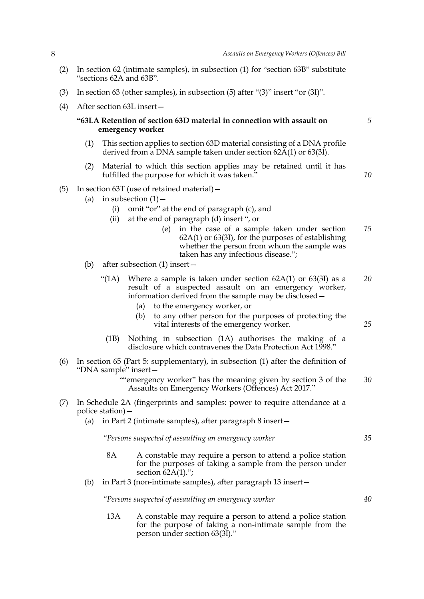- (2) In section 62 (intimate samples), in subsection (1) for "section 63B" substitute "sections 62A and 63B".
- (3) In section 63 (other samples), in subsection (5) after "(3)" insert "or (3I)".
- (4) After section 63L insert—

#### **"63LA Retention of section 63D material in connection with assault on emergency worker**

- (1) This section applies to section 63D material consisting of a DNA profile derived from a DNA sample taken under section  $62\text{\AA}(1)$  or  $63(3\text{\AA})$ .
- (2) Material to which this section applies may be retained until it has fulfilled the purpose for which it was taken."
- (5) In section 63T (use of retained material)—
	- (a) in subsection  $(1)$  -
		- (i) omit "or" at the end of paragraph (c), and
		- (ii) at the end of paragraph (d) insert ", or
			- (e) in the case of a sample taken under section 62A(1) or 63(3I), for the purposes of establishing whether the person from whom the sample was taken has any infectious disease."; *15*
	- (b) after subsection (1) insert—
		- "(1A) Where a sample is taken under section  $62A(1)$  or  $63(3I)$  as a result of a suspected assault on an emergency worker, information derived from the sample may be disclosed— *20*
			- (a) to the emergency worker, or
			- (b) to any other person for the purposes of protecting the vital interests of the emergency worker.
			- (1B) Nothing in subsection (1A) authorises the making of a disclosure which contravenes the Data Protection Act 1998."
- (6) In section 65 (Part 5: supplementary), in subsection (1) after the definition of "DNA sample" insert—
	- ""emergency worker" has the meaning given by section 3 of the Assaults on Emergency Workers (Offences) Act 2017." *30*
- (7) In Schedule 2A (fingerprints and samples: power to require attendance at a police station)—
	- (a) in Part 2 (intimate samples), after paragraph 8 insert—

*"Persons suspected of assaulting an emergency worker*

- 8A A constable may require a person to attend a police station for the purposes of taking a sample from the person under section  $\overline{62A(1)}$ .";
- (b) in Part 3 (non-intimate samples), after paragraph 13 insert—

*"Persons suspected of assaulting an emergency worker*

13A A constable may require a person to attend a police station for the purpose of taking a non-intimate sample from the person under section 63(3I)."

*10*

*5*

*25*

*35*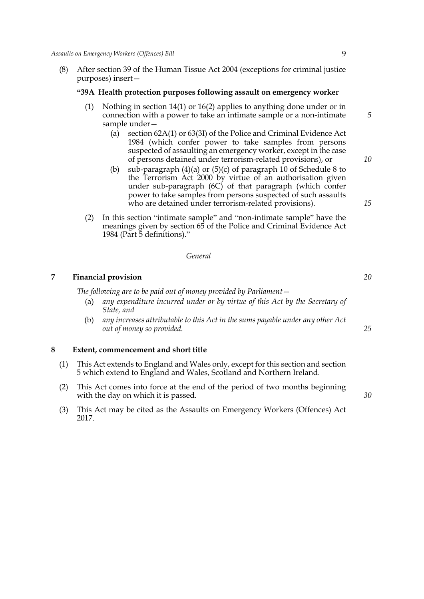(8) After section 39 of the Human Tissue Act 2004 (exceptions for criminal justice purposes) insert—

#### **"39A Health protection purposes following assault on emergency worker**

- (1) Nothing in section 14(1) or 16(2) applies to anything done under or in connection with a power to take an intimate sample or a non-intimate sample under—
	- (a) section 62A(1) or 63(3I) of the Police and Criminal Evidence Act 1984 (which confer power to take samples from persons suspected of assaulting an emergency worker, except in the case of persons detained under terrorism-related provisions), or
	- (b) sub-paragraph (4)(a) or (5)(c) of paragraph 10 of Schedule 8 to the Terrorism Act 2000 by virtue of an authorisation given under sub-paragraph (6C) of that paragraph (which confer power to take samples from persons suspected of such assaults who are detained under terrorism-related provisions).
- (2) In this section "intimate sample" and "non-intimate sample" have the meanings given by section 65 of the Police and Criminal Evidence Act 1984 (Part 5 definitions)."

#### *General*

#### **7 Financial provision**

The following are to be paid out of money provided by Parliament —

- (a) *any expenditure incurred under or by virtue of this Act by the Secretary of State, and*
- (b) *any increases attributable to this Act in the sums payable under any other Act out of money so provided.*

#### **8 Extent, commencement and short title**

- (1) This Act extends to England and Wales only, except for this section and section 5 which extend to England and Wales, Scotland and Northern Ireland.
- (2) This Act comes into force at the end of the period of two months beginning with the day on which it is passed.
- (3) This Act may be cited as the Assaults on Emergency Workers (Offences) Act 2017.

*30*

*25*

*20*

*5*

*10*